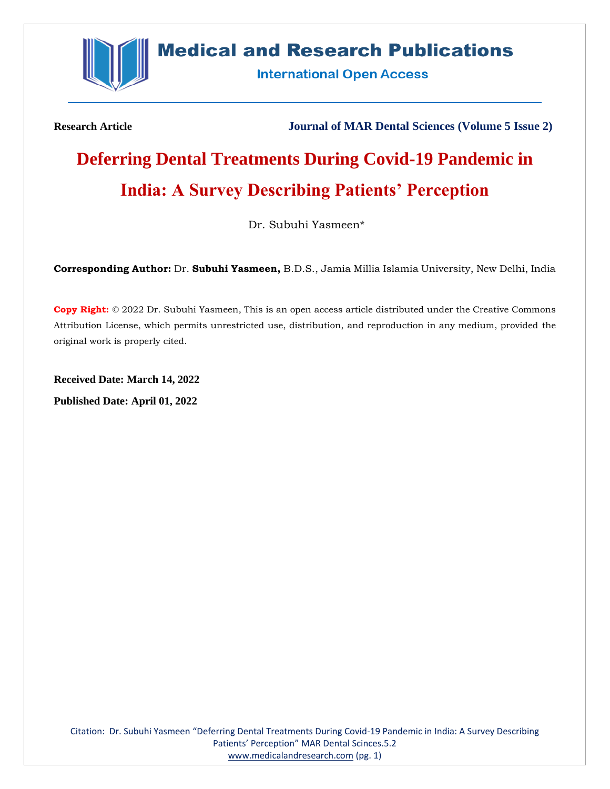

# **Medical and Research Publications**

**International Open Access** 

**Research Article Journal of MAR Dental Sciences (Volume 5 Issue 2)**

# **Deferring Dental Treatments During Covid-19 Pandemic in India: A Survey Describing Patients' Perception**

Dr. Subuhi Yasmeen\*

**Corresponding Author:** Dr. **Subuhi Yasmeen,** B.D.S., Jamia Millia Islamia University, New Delhi, India

**Copy Right:** © 2022 Dr. Subuhi Yasmeen, This is an open access article distributed under the Creative Commons Attribution License, which permits unrestricted use, distribution, and reproduction in any medium, provided the original work is properly cited.

**Received Date: March 14, 2022 Published Date: April 01, 2022**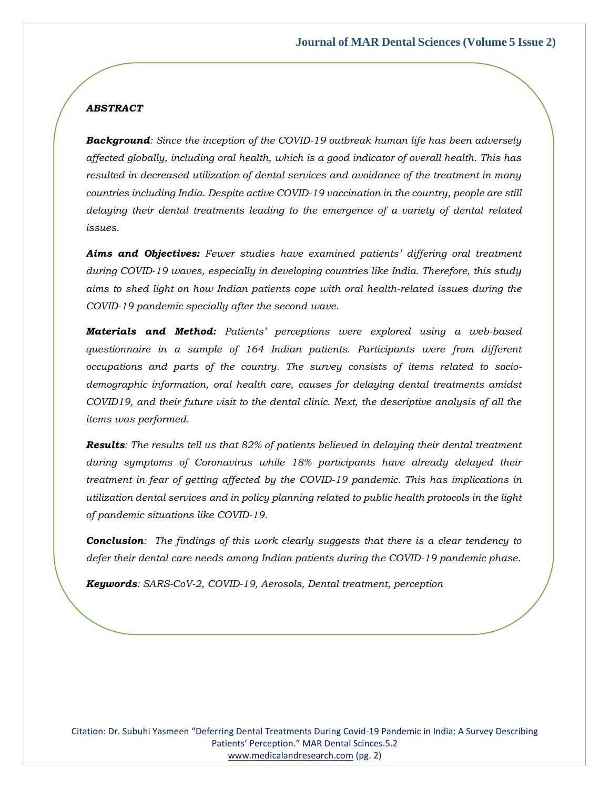#### *ABSTRACT*

*Background: Since the inception of the COVID-19 outbreak human life has been adversely affected globally, including oral health, which is a good indicator of overall health. This has resulted in decreased utilization of dental services and avoidance of the treatment in many countries including India. Despite active COVID-19 vaccination in the country, people are still delaying their dental treatments leading to the emergence of a variety of dental related issues.*

*Aims and Objectives: Fewer studies have examined patients' differing oral treatment during COVID-19 waves, especially in developing countries like India. Therefore, this study aims to shed light on how Indian patients cope with oral health-related issues during the COVID-19 pandemic specially after the second wave.*

*Materials and Method: Patients' perceptions were explored using a web-based questionnaire in a sample of 164 Indian patients. Participants were from different occupations and parts of the country. The survey consists of items related to sociodemographic information, oral health care, causes for delaying dental treatments amidst COVID19, and their future visit to the dental clinic. Next, the descriptive analysis of all the items was performed.*

*Results: The results tell us that 82% of patients believed in delaying their dental treatment during symptoms of Coronavirus while 18% participants have already delayed their treatment in fear of getting affected by the COVID-19 pandemic. This has implications in utilization dental services and in policy planning related to public health protocols in the light of pandemic situations like COVID-19.*

*Conclusion: The findings of this work clearly suggests that there is a clear tendency to defer their dental care needs among Indian patients during the COVID-19 pandemic phase.*

*Keywords: SARS-CoV-2, COVID-19, Aerosols, Dental treatment, perception*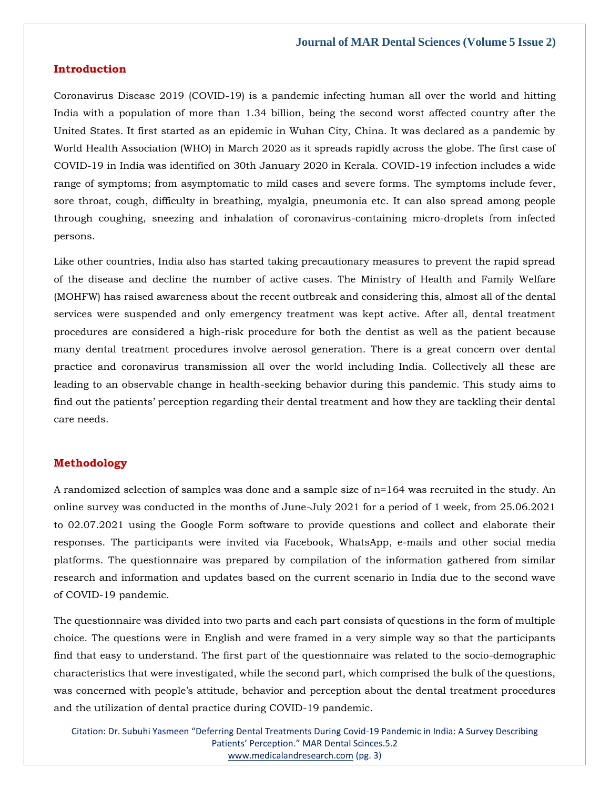#### **Introduction**

Coronavirus Disease 2019 (COVID-19) is a pandemic infecting human all over the world and hitting India with a population of more than 1.34 billion, being the second worst affected country after the United States. It first started as an epidemic in Wuhan City, China. It was declared as a pandemic by World Health Association (WHO) in March 2020 as it spreads rapidly across the globe. The first case of COVID-19 in India was identified on 30th January 2020 in Kerala. COVID-19 infection includes a wide range of symptoms; from asymptomatic to mild cases and severe forms. The symptoms include fever, sore throat, cough, difficulty in breathing, myalgia, pneumonia etc. It can also spread among people through coughing, sneezing and inhalation of coronavirus-containing micro-droplets from infected persons.

Like other countries, India also has started taking precautionary measures to prevent the rapid spread of the disease and decline the number of active cases. The Ministry of Health and Family Welfare (MOHFW) has raised awareness about the recent outbreak and considering this, almost all of the dental services were suspended and only emergency treatment was kept active. After all, dental treatment procedures are considered a high-risk procedure for both the dentist as well as the patient because many dental treatment procedures involve aerosol generation. There is a great concern over dental practice and coronavirus transmission all over the world including India. Collectively all these are leading to an observable change in health-seeking behavior during this pandemic. This study aims to find out the patients' perception regarding their dental treatment and how they are tackling their dental care needs.

#### **Methodology**

A randomized selection of samples was done and a sample size of n=164 was recruited in the study. An online survey was conducted in the months of June-July 2021 for a period of 1 week, from 25.06.2021 to 02.07.2021 using the Google Form software to provide questions and collect and elaborate their responses. The participants were invited via Facebook, WhatsApp, e-mails and other social media platforms. The questionnaire was prepared by compilation of the information gathered from similar research and information and updates based on the current scenario in India due to the second wave of COVID-19 pandemic.

The questionnaire was divided into two parts and each part consists of questions in the form of multiple choice. The questions were in English and were framed in a very simple way so that the participants find that easy to understand. The first part of the questionnaire was related to the socio-demographic characteristics that were investigated, while the second part, which comprised the bulk of the questions, was concerned with people's attitude, behavior and perception about the dental treatment procedures and the utilization of dental practice during COVID-19 pandemic.

Citation: Dr. Subuhi Yasmeen "Deferring Dental Treatments During Covid-19 Pandemic in India: A Survey Describing Patients' Perception." MAR Dental Scinces.5.2 [www.medicalandresearch.com](http://www.medicalandresearch.com/) (pg. 3)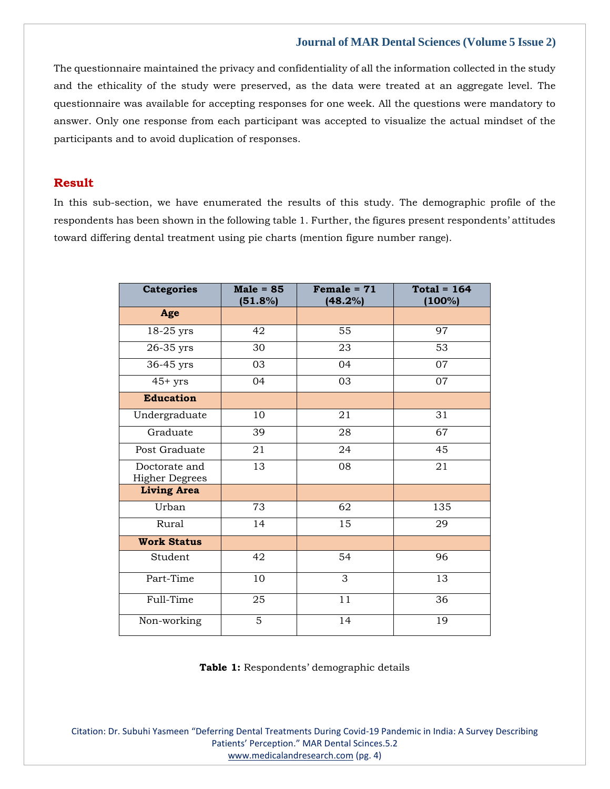The questionnaire maintained the privacy and confidentiality of all the information collected in the study and the ethicality of the study were preserved, as the data were treated at an aggregate level. The questionnaire was available for accepting responses for one week. All the questions were mandatory to answer. Only one response from each participant was accepted to visualize the actual mindset of the participants and to avoid duplication of responses.

# **Result**

In this sub-section, we have enumerated the results of this study. The demographic profile of the respondents has been shown in the following table 1. Further, the figures present respondents' attitudes toward differing dental treatment using pie charts (mention figure number range).

| <b>Categories</b>                      | $Male = 85$<br>(51.8%) | Female = $71$<br>(48.2%) | $Total = 164$<br>(100%) |  |
|----------------------------------------|------------------------|--------------------------|-------------------------|--|
| Age                                    |                        |                          |                         |  |
| 18-25 yrs                              | 42                     | 55                       | 97                      |  |
| 26-35 yrs                              | 30                     | 23                       | 53                      |  |
| 36-45 yrs                              | 03                     | 04                       | 07                      |  |
| $45+$ yrs                              | 04                     | 03                       | 07                      |  |
| <b>Education</b>                       |                        |                          |                         |  |
| Undergraduate                          | 10                     | 21                       | 31                      |  |
| Graduate                               | 39                     | 28                       | 67                      |  |
| Post Graduate                          | 21                     | 24                       | 45                      |  |
| Doctorate and<br><b>Higher Degrees</b> | 13                     | 08                       | 21                      |  |
| <b>Living Area</b>                     |                        |                          |                         |  |
| Urban                                  | 73                     | 62                       | 135                     |  |
| Rural                                  | 14                     | 15                       | 29                      |  |
| <b>Work Status</b>                     |                        |                          |                         |  |
| Student                                | 42                     | 54                       | 96                      |  |
| Part-Time                              | 10                     | 3                        | 13                      |  |
| Full-Time                              | 25                     | 11                       | 36                      |  |
| Non-working                            | 5                      | 14                       | 19                      |  |

**Table 1:** Respondents' demographic details

Citation: Dr. Subuhi Yasmeen "Deferring Dental Treatments During Covid-19 Pandemic in India: A Survey Describing Patients' Perception." MAR Dental Scinces.5.2 [www.medicalandresearch.com](http://www.medicalandresearch.com/) (pg. 4)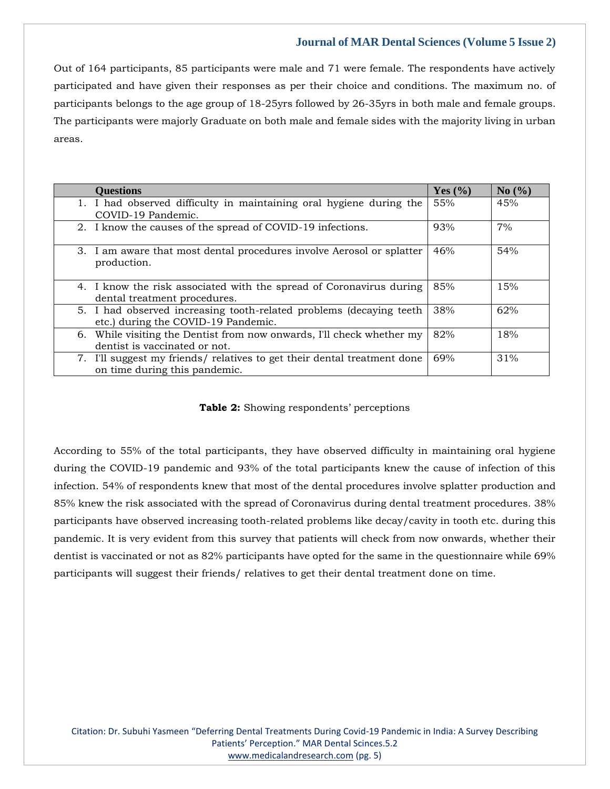Out of 164 participants, 85 participants were male and 71 were female. The respondents have actively participated and have given their responses as per their choice and conditions. The maximum no. of participants belongs to the age group of 18-25yrs followed by 26-35yrs in both male and female groups. The participants were majorly Graduate on both male and female sides with the majority living in urban areas.

| <b>Questions</b>                                                                                           | Yes $(\%$ | No(%) |
|------------------------------------------------------------------------------------------------------------|-----------|-------|
| 1. I had observed difficulty in maintaining oral hygiene during the<br>COVID-19 Pandemic.                  | 55%       | 45%   |
| 2. I know the causes of the spread of COVID-19 infections.                                                 | 93%       | 7%    |
| 3. I am aware that most dental procedures involve Aerosol or splatter<br>production.                       | 46%       | 54%   |
| 4. I know the risk associated with the spread of Coronavirus during<br>dental treatment procedures.        | 85%       | 15%   |
| 5. I had observed increasing tooth-related problems (decaying teeth<br>etc.) during the COVID-19 Pandemic. | 38%       | 62%   |
| 6. While visiting the Dentist from now onwards, I'll check whether my<br>dentist is vaccinated or not.     | 82%       | 18%   |
| 7. I'll suggest my friends/ relatives to get their dental treatment done<br>on time during this pandemic.  | 69%       | 31%   |

**Table 2:** Showing respondents' perceptions

According to 55% of the total participants, they have observed difficulty in maintaining oral hygiene during the COVID-19 pandemic and 93% of the total participants knew the cause of infection of this infection. 54% of respondents knew that most of the dental procedures involve splatter production and 85% knew the risk associated with the spread of Coronavirus during dental treatment procedures. 38% participants have observed increasing tooth-related problems like decay/cavity in tooth etc. during this pandemic. It is very evident from this survey that patients will check from now onwards, whether their dentist is vaccinated or not as 82% participants have opted for the same in the questionnaire while 69% participants will suggest their friends/ relatives to get their dental treatment done on time.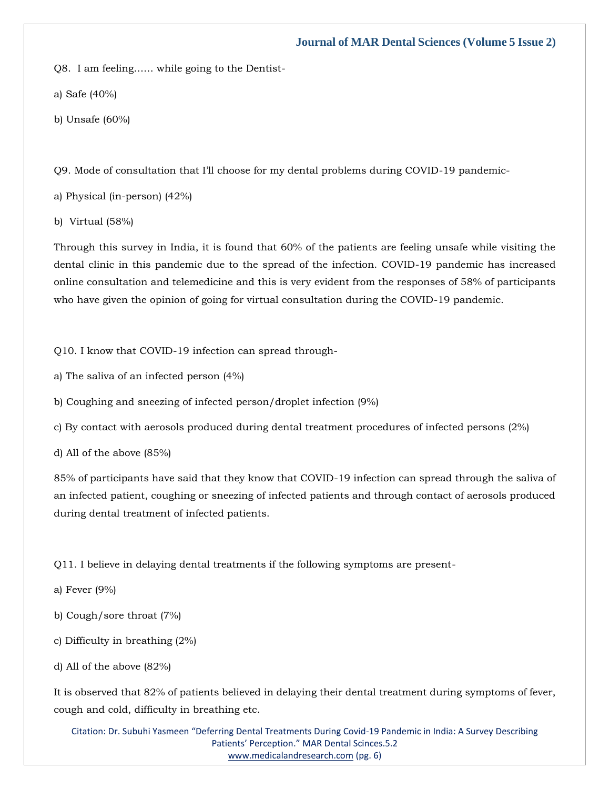Q8. I am feeling…… while going to the Dentist-

a) Safe (40%)

b) Unsafe (60%)

Q9. Mode of consultation that I'll choose for my dental problems during COVID-19 pandemic-

a) Physical (in-person) (42%)

b) Virtual (58%)

Through this survey in India, it is found that 60% of the patients are feeling unsafe while visiting the dental clinic in this pandemic due to the spread of the infection. COVID-19 pandemic has increased online consultation and telemedicine and this is very evident from the responses of 58% of participants who have given the opinion of going for virtual consultation during the COVID-19 pandemic.

Q10. I know that COVID-19 infection can spread through-

a) The saliva of an infected person (4%)

b) Coughing and sneezing of infected person/droplet infection (9%)

c) By contact with aerosols produced during dental treatment procedures of infected persons (2%)

d) All of the above (85%)

85% of participants have said that they know that COVID-19 infection can spread through the saliva of an infected patient, coughing or sneezing of infected patients and through contact of aerosols produced during dental treatment of infected patients.

Q11. I believe in delaying dental treatments if the following symptoms are present-

a) Fever (9%)

- b) Cough/sore throat (7%)
- c) Difficulty in breathing (2%)
- d) All of the above (82%)

It is observed that 82% of patients believed in delaying their dental treatment during symptoms of fever, cough and cold, difficulty in breathing etc.

Citation: Dr. Subuhi Yasmeen "Deferring Dental Treatments During Covid-19 Pandemic in India: A Survey Describing Patients' Perception." MAR Dental Scinces.5.2 [www.medicalandresearch.com](http://www.medicalandresearch.com/) (pg. 6)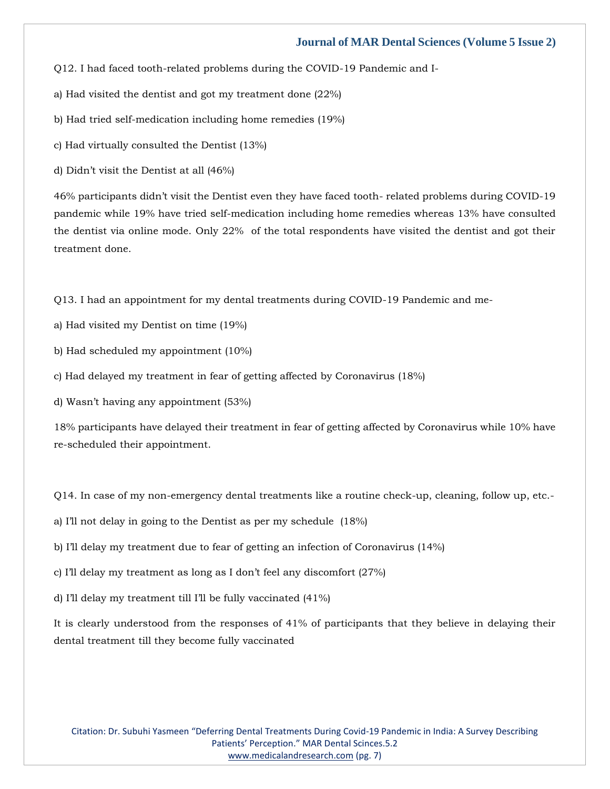Q12. I had faced tooth-related problems during the COVID-19 Pandemic and I-

a) Had visited the dentist and got my treatment done (22%)

b) Had tried self-medication including home remedies (19%)

c) Had virtually consulted the Dentist (13%)

d) Didn't visit the Dentist at all (46%)

46% participants didn't visit the Dentist even they have faced tooth- related problems during COVID-19 pandemic while 19% have tried self-medication including home remedies whereas 13% have consulted the dentist via online mode. Only 22% of the total respondents have visited the dentist and got their treatment done.

Q13. I had an appointment for my dental treatments during COVID-19 Pandemic and me-

a) Had visited my Dentist on time (19%)

b) Had scheduled my appointment (10%)

c) Had delayed my treatment in fear of getting affected by Coronavirus (18%)

d) Wasn't having any appointment (53%)

18% participants have delayed their treatment in fear of getting affected by Coronavirus while 10% have re-scheduled their appointment.

Q14. In case of my non-emergency dental treatments like a routine check-up, cleaning, follow up, etc.-

a) I'll not delay in going to the Dentist as per my schedule (18%)

b) I'll delay my treatment due to fear of getting an infection of Coronavirus (14%)

c) I'll delay my treatment as long as I don't feel any discomfort (27%)

d) I'll delay my treatment till I'll be fully vaccinated (41%)

It is clearly understood from the responses of 41% of participants that they believe in delaying their dental treatment till they become fully vaccinated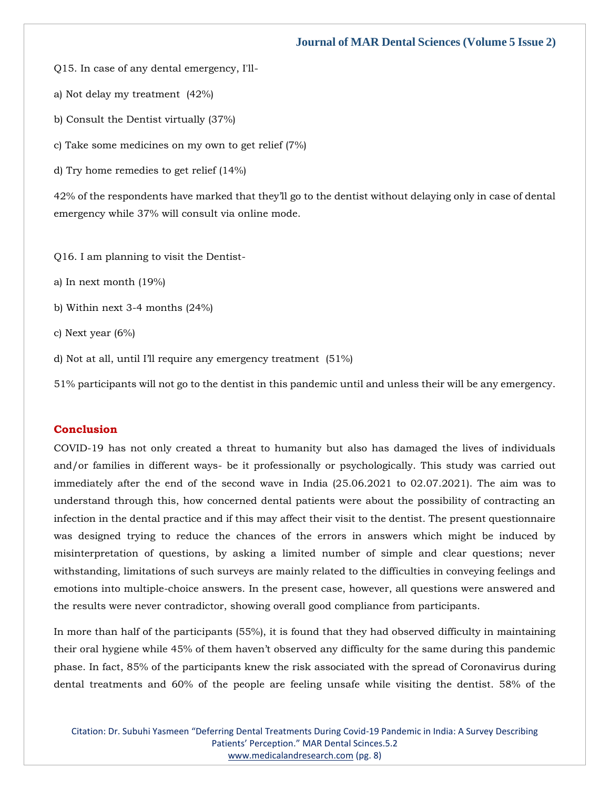Q15. In case of any dental emergency, I'll-

a) Not delay my treatment (42%)

b) Consult the Dentist virtually (37%)

c) Take some medicines on my own to get relief (7%)

d) Try home remedies to get relief (14%)

42% of the respondents have marked that they'll go to the dentist without delaying only in case of dental emergency while 37% will consult via online mode.

Q16. I am planning to visit the Dentist-

a) In next month (19%)

b) Within next 3-4 months (24%)

c) Next year (6%)

d) Not at all, until I'll require any emergency treatment (51%)

51% participants will not go to the dentist in this pandemic until and unless their will be any emergency.

# **Conclusion**

COVID-19 has not only created a threat to humanity but also has damaged the lives of individuals and/or families in different ways- be it professionally or psychologically. This study was carried out immediately after the end of the second wave in India (25.06.2021 to 02.07.2021). The aim was to understand through this, how concerned dental patients were about the possibility of contracting an infection in the dental practice and if this may affect their visit to the dentist. The present questionnaire was designed trying to reduce the chances of the errors in answers which might be induced by misinterpretation of questions, by asking a limited number of simple and clear questions; never withstanding, limitations of such surveys are mainly related to the difficulties in conveying feelings and emotions into multiple-choice answers. In the present case, however, all questions were answered and the results were never contradictor, showing overall good compliance from participants.

In more than half of the participants (55%), it is found that they had observed difficulty in maintaining their oral hygiene while 45% of them haven't observed any difficulty for the same during this pandemic phase. In fact, 85% of the participants knew the risk associated with the spread of Coronavirus during dental treatments and 60% of the people are feeling unsafe while visiting the dentist. 58% of the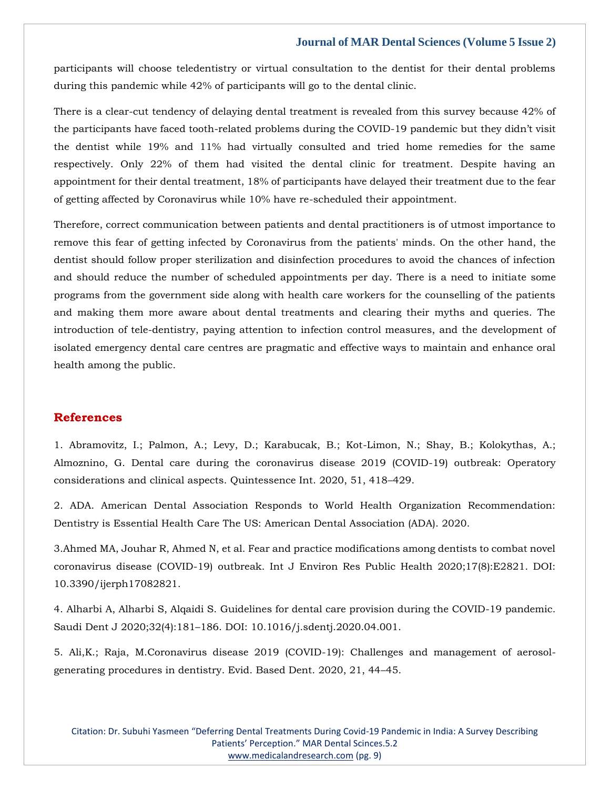participants will choose teledentistry or virtual consultation to the dentist for their dental problems during this pandemic while 42% of participants will go to the dental clinic.

There is a clear-cut tendency of delaying dental treatment is revealed from this survey because 42% of the participants have faced tooth-related problems during the COVID-19 pandemic but they didn't visit the dentist while 19% and 11% had virtually consulted and tried home remedies for the same respectively. Only 22% of them had visited the dental clinic for treatment. Despite having an appointment for their dental treatment, 18% of participants have delayed their treatment due to the fear of getting affected by Coronavirus while 10% have re-scheduled their appointment.

Therefore, correct communication between patients and dental practitioners is of utmost importance to remove this fear of getting infected by Coronavirus from the patients' minds. On the other hand, the dentist should follow proper sterilization and disinfection procedures to avoid the chances of infection and should reduce the number of scheduled appointments per day. There is a need to initiate some programs from the government side along with health care workers for the counselling of the patients and making them more aware about dental treatments and clearing their myths and queries. The introduction of tele-dentistry, paying attention to infection control measures, and the development of isolated emergency dental care centres are pragmatic and effective ways to maintain and enhance oral health among the public.

# **References**

[1. Abramovitz, I.; Palmon, A.; Levy, D.; Karabucak, B.; Kot-Limon, N.; Shay, B.; Kolokythas, A.;](https://www.google.com/search?q=Dental+care+during+the+coronavirus+disease+2019+%28COVID-19%29+outbreak%3A+Operatory+considerations+and+clinical+aspects&sxsrf=APq-WBtzyVqA-bLhWOdZLvA0CUQz3JL1cw%3A1647426489602&ei=ubsxYpusJImD4-EPhLaMUA&ved=0ahUKEwjb7NL1tcr2AhWJwTgGHQQbAwoQ4dUDCA8&oq=Dental+care+during+the+coronavirus+disease+2019+%28COVID-19%29+outbreak%3A+Operatory+considerations+and+clinical+aspects&gs_lcp=Cgdnd3Mtd2l6EAwyBwgjEOoCECcyBwgjEOoCECcyBwgjEOoCECcyBwgjEOoCECcyBwgjEOoCECcyBwgjEOoCECcyBwgjEOoCECcyBwgjEOoCECcyBwgjEOoCECcyBwgjEOoCECdKBAhBGABKBAhGGABQ7wJY7wJgoAhoAXABeACAAQCIAQCSAQCYAQCgAQGgAQKwAQrAAQE&sclient=gws-wiz)  Almoznino, G. Dental care [during the coronavirus disease 2019 \(COVID-19\) outbreak: Operatory](https://www.google.com/search?q=Dental+care+during+the+coronavirus+disease+2019+%28COVID-19%29+outbreak%3A+Operatory+considerations+and+clinical+aspects&sxsrf=APq-WBtzyVqA-bLhWOdZLvA0CUQz3JL1cw%3A1647426489602&ei=ubsxYpusJImD4-EPhLaMUA&ved=0ahUKEwjb7NL1tcr2AhWJwTgGHQQbAwoQ4dUDCA8&oq=Dental+care+during+the+coronavirus+disease+2019+%28COVID-19%29+outbreak%3A+Operatory+considerations+and+clinical+aspects&gs_lcp=Cgdnd3Mtd2l6EAwyBwgjEOoCECcyBwgjEOoCECcyBwgjEOoCECcyBwgjEOoCECcyBwgjEOoCECcyBwgjEOoCECcyBwgjEOoCECcyBwgjEOoCECcyBwgjEOoCECcyBwgjEOoCECdKBAhBGABKBAhGGABQ7wJY7wJgoAhoAXABeACAAQCIAQCSAQCYAQCgAQGgAQKwAQrAAQE&sclient=gws-wiz)  [considerations and clinical aspects. Quintessence Int. 2020, 51, 418](https://www.google.com/search?q=Dental+care+during+the+coronavirus+disease+2019+%28COVID-19%29+outbreak%3A+Operatory+considerations+and+clinical+aspects&sxsrf=APq-WBtzyVqA-bLhWOdZLvA0CUQz3JL1cw%3A1647426489602&ei=ubsxYpusJImD4-EPhLaMUA&ved=0ahUKEwjb7NL1tcr2AhWJwTgGHQQbAwoQ4dUDCA8&oq=Dental+care+during+the+coronavirus+disease+2019+%28COVID-19%29+outbreak%3A+Operatory+considerations+and+clinical+aspects&gs_lcp=Cgdnd3Mtd2l6EAwyBwgjEOoCECcyBwgjEOoCECcyBwgjEOoCECcyBwgjEOoCECcyBwgjEOoCECcyBwgjEOoCECcyBwgjEOoCECcyBwgjEOoCECcyBwgjEOoCECcyBwgjEOoCECdKBAhBGABKBAhGGABQ7wJY7wJgoAhoAXABeACAAQCIAQCSAQCYAQCgAQGgAQKwAQrAAQE&sclient=gws-wiz)–429.

[2. ADA. American Dental Association Responds to World Health Organization Recommendation:](https://www.google.com/search?q=World+Health+Organization+Recommendation%3A+Dentistry+is+Essential+Health+Care+The+US%3A+American+Dental+Association+&sxsrf=APq-WBtN3mUlzlGivJRyApBjpAJNXUeVZA%3A1647426471431&ei=p7sxYp2kEKCb4-EPtvmD4AU&ved=0ahUKEwjdk_Tstcr2AhWgzTgGHbb8AFwQ4dUDCA8&oq=World+Health+Organization+Recommendation%3A+Dentistry+is+Essential+Health+Care+The+US%3A+American+Dental+Association+&gs_lcp=Cgdnd3Mtd2l6EAwyBwgjEOoCECcyBwgjEOoCECcyBwgjEOoCECcyBwgjEOoCECcyBwgjEOoCECcyBwgjEOoCECcyBwgjEOoCECcyBwgjEOoCECcyBwgjEOoCECcyBwgjEOoCECdKBAhBGABKBAhGGABQsQFYsQFgsAhoAXABeACAAQCIAQCSAQCYAQCgAQGgAQKwAQrAAQE&sclient=gws-wiz)  [Dentistry is Essential Health Care The US: American Dental Association \(ADA\). 2020.](https://www.google.com/search?q=World+Health+Organization+Recommendation%3A+Dentistry+is+Essential+Health+Care+The+US%3A+American+Dental+Association+&sxsrf=APq-WBtN3mUlzlGivJRyApBjpAJNXUeVZA%3A1647426471431&ei=p7sxYp2kEKCb4-EPtvmD4AU&ved=0ahUKEwjdk_Tstcr2AhWgzTgGHbb8AFwQ4dUDCA8&oq=World+Health+Organization+Recommendation%3A+Dentistry+is+Essential+Health+Care+The+US%3A+American+Dental+Association+&gs_lcp=Cgdnd3Mtd2l6EAwyBwgjEOoCECcyBwgjEOoCECcyBwgjEOoCECcyBwgjEOoCECcyBwgjEOoCECcyBwgjEOoCECcyBwgjEOoCECcyBwgjEOoCECcyBwgjEOoCECcyBwgjEOoCECdKBAhBGABKBAhGGABQsQFYsQFgsAhoAXABeACAAQCIAQCSAQCYAQCgAQGgAQKwAQrAAQE&sclient=gws-wiz)

[3.Ahmed MA, Jouhar R, Ahmed N, et al. Fear and practice modifications among dentists to combat novel](https://www.google.com/search?q=Fear+and+practice+modifications+among+dentists+to+combat+novel+coronavirus+disease+%28COVID-19%29+outbreak&sxsrf=APq-WBuDSpykqpV8oS2niwGTFJruBlZYyg%3A1647426449786&ei=kbsxYt7LL5ad4-EPxqqfwAw&ved=0ahUKEwie2NTitcr2AhWWzjgGHUbVB8gQ4dUDCA8&oq=Fear+and+practice+modifications+among+dentists+to+combat+novel+coronavirus+disease+%28COVID-19%29+outbreak&gs_lcp=Cgdnd3Mtd2l6EAwyBwgjEOoCECcyBwgjEOoCECcyBwgjEOoCECcyBwgjEOoCECcyBwgjEOoCECcyBwgjEOoCECcyBwgjEOoCECcyBwgjEOoCECcyBwgjEOoCECcyBwgjEOoCECdKBAhBGABKBAhGGABQwgJYwgJg9AloAXABeACAAQCIAQCSAQCYAQCgAQGgAQKwAQrAAQE&sclient=gws-wiz)  [coronavirus disease \(COVID-19\) outbreak. Int J Environ Res Public Health 2020;17\(8\):E2821. DOI:](https://www.google.com/search?q=Fear+and+practice+modifications+among+dentists+to+combat+novel+coronavirus+disease+%28COVID-19%29+outbreak&sxsrf=APq-WBuDSpykqpV8oS2niwGTFJruBlZYyg%3A1647426449786&ei=kbsxYt7LL5ad4-EPxqqfwAw&ved=0ahUKEwie2NTitcr2AhWWzjgGHUbVB8gQ4dUDCA8&oq=Fear+and+practice+modifications+among+dentists+to+combat+novel+coronavirus+disease+%28COVID-19%29+outbreak&gs_lcp=Cgdnd3Mtd2l6EAwyBwgjEOoCECcyBwgjEOoCECcyBwgjEOoCECcyBwgjEOoCECcyBwgjEOoCECcyBwgjEOoCECcyBwgjEOoCECcyBwgjEOoCECcyBwgjEOoCECcyBwgjEOoCECdKBAhBGABKBAhGGABQwgJYwgJg9AloAXABeACAAQCIAQCSAQCYAQCgAQGgAQKwAQrAAQE&sclient=gws-wiz)  [10.3390/ijerph17082821.](https://www.google.com/search?q=Fear+and+practice+modifications+among+dentists+to+combat+novel+coronavirus+disease+%28COVID-19%29+outbreak&sxsrf=APq-WBuDSpykqpV8oS2niwGTFJruBlZYyg%3A1647426449786&ei=kbsxYt7LL5ad4-EPxqqfwAw&ved=0ahUKEwie2NTitcr2AhWWzjgGHUbVB8gQ4dUDCA8&oq=Fear+and+practice+modifications+among+dentists+to+combat+novel+coronavirus+disease+%28COVID-19%29+outbreak&gs_lcp=Cgdnd3Mtd2l6EAwyBwgjEOoCECcyBwgjEOoCECcyBwgjEOoCECcyBwgjEOoCECcyBwgjEOoCECcyBwgjEOoCECcyBwgjEOoCECcyBwgjEOoCECcyBwgjEOoCECcyBwgjEOoCECdKBAhBGABKBAhGGABQwgJYwgJg9AloAXABeACAAQCIAQCSAQCYAQCgAQGgAQKwAQrAAQE&sclient=gws-wiz)

[4. Alharbi A, Alharbi S, Alqaidi S. Guidelines for dental care provision during the COVID-19 pandemic.](https://www.google.com/search?q=Guidelines+for+dental+care+provision+during+the+COVID-19+pandemic&sxsrf=APq-WBsV8fuwB6cxNBTMNGohuNJsUlVWbA%3A1647426426449&ei=ersxYqP_Gtia4-EPmLqJkAY&ved=0ahUKEwijpMTXtcr2AhVYzTgGHRhdAmIQ4dUDCA8&oq=Guidelines+for+dental+care+provision+during+the+COVID-19+pandemic&gs_lcp=Cgdnd3Mtd2l6EAwyBQgAEIAEOgcIIxDqAhAnSgQIQRgASgQIRhgAUNwCWNwCYP89aAFwAHgAgAF_iAF_kgEDMC4xmAEAoAEBoAECsAEKwAEB&sclient=gws-wiz)  Saudi Dent J 2020;32(4):181–[186. DOI: 10.1016/j.sdentj.2020.04.001.](https://www.google.com/search?q=Guidelines+for+dental+care+provision+during+the+COVID-19+pandemic&sxsrf=APq-WBsV8fuwB6cxNBTMNGohuNJsUlVWbA%3A1647426426449&ei=ersxYqP_Gtia4-EPmLqJkAY&ved=0ahUKEwijpMTXtcr2AhVYzTgGHRhdAmIQ4dUDCA8&oq=Guidelines+for+dental+care+provision+during+the+COVID-19+pandemic&gs_lcp=Cgdnd3Mtd2l6EAwyBQgAEIAEOgcIIxDqAhAnSgQIQRgASgQIRhgAUNwCWNwCYP89aAFwAHgAgAF_iAF_kgEDMC4xmAEAoAEBoAECsAEKwAEB&sclient=gws-wiz)

[5. Ali,K.; Raja, M.Coronavirus disease 2019 \(COVID-19\): Challenges and management of aerosol](https://www.google.com/search?q=Challenges+and+management+of+aerosol-generating+procedures+in+dentistry.&sxsrf=APq-WBvOMld2bj2_jmfh8ixWTINi8pBDqg%3A1647426405838&ei=ZbsxYu3PMvyC4-EPw8uNiAM&ved=0ahUKEwitltrNtcr2AhV8wTgGHcNlAzEQ4dUDCA8&oq=Challenges+and+management+of+aerosol-generating+procedures+in+dentistry.&gs_lcp=Cgdnd3Mtd2l6EAw6BwgjEOoCECdKBAhBGABKBAhGGABQ2QJY2QJgzAZoAXABeACAAXqIAXqSAQMwLjGYAQCgAQGgAQKwAQrAAQE&sclient=gws-wiz)[generating procedures in dentistry. Evid. Based Dent. 2020, 21, 44](https://www.google.com/search?q=Challenges+and+management+of+aerosol-generating+procedures+in+dentistry.&sxsrf=APq-WBvOMld2bj2_jmfh8ixWTINi8pBDqg%3A1647426405838&ei=ZbsxYu3PMvyC4-EPw8uNiAM&ved=0ahUKEwitltrNtcr2AhV8wTgGHcNlAzEQ4dUDCA8&oq=Challenges+and+management+of+aerosol-generating+procedures+in+dentistry.&gs_lcp=Cgdnd3Mtd2l6EAw6BwgjEOoCECdKBAhBGABKBAhGGABQ2QJY2QJgzAZoAXABeACAAXqIAXqSAQMwLjGYAQCgAQGgAQKwAQrAAQE&sclient=gws-wiz)–45.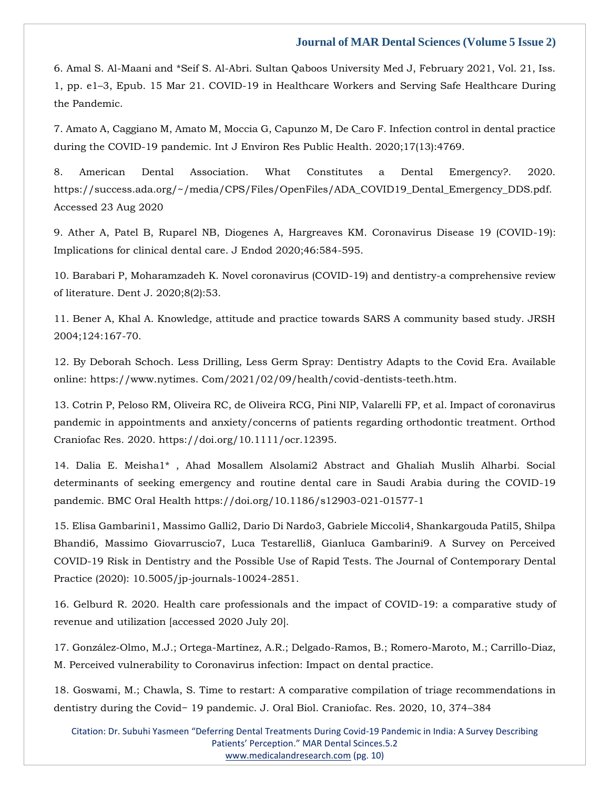[6. Amal S. Al-Maani and \\*Seif S. Al-Abri. Sultan Qaboos University Med J, February 2021, Vol. 21, Iss.](https://www.google.com/search?q=COVID-19+in+Healthcare+Workers+and+Serving+Safe+Healthcare+During+the+Pandemic.&sxsrf=APq-WBvf7UBQi0Nb7adE52CMWDbbrRUYqQ%3A1647426378769&ei=SrsxYqS4Lo2a4-EP6rmNkAs&ved=0ahUKEwikhebAtcr2AhUNzTgGHepcA7IQ4dUDCA8&oq=COVID-19+in+Healthcare+Workers+and+Serving+Safe+Healthcare+During+the+Pandemic.&gs_lcp=Cgdnd3Mtd2l6EAw6BwgjEOoCECdKBAhBGABKBAhGGABQnANYnANgvgZoAXABeACAAXKIAXKSAQMwLjGYAQCgAQGgAQKwAQrAAQE&sclient=gws-wiz)  1, pp. e1–[3, Epub. 15 Mar 21. COVID-19 in Healthcare Workers and Serving Safe Healthcare During](https://www.google.com/search?q=COVID-19+in+Healthcare+Workers+and+Serving+Safe+Healthcare+During+the+Pandemic.&sxsrf=APq-WBvf7UBQi0Nb7adE52CMWDbbrRUYqQ%3A1647426378769&ei=SrsxYqS4Lo2a4-EP6rmNkAs&ved=0ahUKEwikhebAtcr2AhUNzTgGHepcA7IQ4dUDCA8&oq=COVID-19+in+Healthcare+Workers+and+Serving+Safe+Healthcare+During+the+Pandemic.&gs_lcp=Cgdnd3Mtd2l6EAw6BwgjEOoCECdKBAhBGABKBAhGGABQnANYnANgvgZoAXABeACAAXKIAXKSAQMwLjGYAQCgAQGgAQKwAQrAAQE&sclient=gws-wiz)  [the Pandemic.](https://www.google.com/search?q=COVID-19+in+Healthcare+Workers+and+Serving+Safe+Healthcare+During+the+Pandemic.&sxsrf=APq-WBvf7UBQi0Nb7adE52CMWDbbrRUYqQ%3A1647426378769&ei=SrsxYqS4Lo2a4-EP6rmNkAs&ved=0ahUKEwikhebAtcr2AhUNzTgGHepcA7IQ4dUDCA8&oq=COVID-19+in+Healthcare+Workers+and+Serving+Safe+Healthcare+During+the+Pandemic.&gs_lcp=Cgdnd3Mtd2l6EAw6BwgjEOoCECdKBAhBGABKBAhGGABQnANYnANgvgZoAXABeACAAXKIAXKSAQMwLjGYAQCgAQGgAQKwAQrAAQE&sclient=gws-wiz)

[7. Amato A, Caggiano M, Amato M, Moccia G, Capunzo M, De Caro F. Infection control in dental practice](https://www.google.com/search?q=.+Infection+control+in+dental+practice+during+the+COVID-19+pandemic&sxsrf=APq-WBu8R05sSnVWonBRCu-iZZXIwveuZA%3A1647426331561&ei=G7sxYq3XIYaW4-EPr4-EqAo&ved=0ahUKEwjt0KSqtcr2AhUGyzgGHa8HAaUQ4dUDCA8&oq=.+Infection+control+in+dental+practice+during+the+COVID-19+pandemic&gs_lcp=Cgdnd3Mtd2l6EAwyBggAEBYQHjIGCAAQFhAeOgcIIxDqAhAnSgQIQRgASgQIRhgAUKQCWKQCYL8MaAFwAXgAgAFsiAFskgEDMC4xmAEAoAEBoAECsAEKwAEB&sclient=gws-wiz)  [during the COVID-19 pandemic. Int J Environ Res Public Health. 2020;17\(13\):4769.](https://www.google.com/search?q=.+Infection+control+in+dental+practice+during+the+COVID-19+pandemic&sxsrf=APq-WBu8R05sSnVWonBRCu-iZZXIwveuZA%3A1647426331561&ei=G7sxYq3XIYaW4-EPr4-EqAo&ved=0ahUKEwjt0KSqtcr2AhUGyzgGHa8HAaUQ4dUDCA8&oq=.+Infection+control+in+dental+practice+during+the+COVID-19+pandemic&gs_lcp=Cgdnd3Mtd2l6EAwyBggAEBYQHjIGCAAQFhAeOgcIIxDqAhAnSgQIQRgASgQIRhgAUKQCWKQCYL8MaAFwAXgAgAFsiAFskgEDMC4xmAEAoAEBoAECsAEKwAEB&sclient=gws-wiz)

8. American Dental Association. What Constitutes a Dental Emergency?. 2020. https://success.ada.org/~/media/CPS/Files/OpenFiles/ADA\_COVID19\_Dental\_Emergency\_DDS.pdf. Accessed 23 Aug 2020

[9. Ather A, Patel B, Ruparel NB, Diogenes A, Hargreaves KM. Coronavirus Disease 19 \(COVID-19\):](https://www.google.com/search?q=Coronavirus+Disease+19+%28COVID-19%29%3A+Implications+for+clinical+dental+care&sxsrf=APq-WBt2QtnDuTC3u20GSdR70US9ft3YCQ%3A1647426314724&ei=CrsxYoPhK-WK4-EPtt6c6AE&ved=0ahUKEwiDjqGitcr2AhVlxTgGHTYvBx0Q4dUDCA8&oq=Coronavirus+Disease+19+%28COVID-19%29%3A+Implications+for+clinical+dental+care&gs_lcp=Cgdnd3Mtd2l6EAwyBQgAEIAEOgcIIxDqAhAnSgQIQRgASgQIRhgAUJQDWJQDYO0HaAFwAXgAgAF0iAF0kgEDMC4xmAEAoAEBoAECsAEKwAEB&sclient=gws-wiz)  [Implications for clinical dental care. J Endod 2020;46:584-595.](https://www.google.com/search?q=Coronavirus+Disease+19+%28COVID-19%29%3A+Implications+for+clinical+dental+care&sxsrf=APq-WBt2QtnDuTC3u20GSdR70US9ft3YCQ%3A1647426314724&ei=CrsxYoPhK-WK4-EPtt6c6AE&ved=0ahUKEwiDjqGitcr2AhVlxTgGHTYvBx0Q4dUDCA8&oq=Coronavirus+Disease+19+%28COVID-19%29%3A+Implications+for+clinical+dental+care&gs_lcp=Cgdnd3Mtd2l6EAwyBQgAEIAEOgcIIxDqAhAnSgQIQRgASgQIRhgAUJQDWJQDYO0HaAFwAXgAgAF0iAF0kgEDMC4xmAEAoAEBoAECsAEKwAEB&sclient=gws-wiz)

[10. Barabari P, Moharamzadeh K. Novel coronavirus \(COVID-19\) and dentistry-a comprehensive review](https://www.google.com/search?q=.+Novel+coronavirus+%28COVID-19%29+and+dentistry-a+comprehensive+review+of+literature&sxsrf=APq-WBtwZYaDOCXgceAOjviIhvvLaG0aUQ%3A1647426258631&ei=0roxYs_zJZeJ4-EP-IOzqAM&ved=0ahUKEwjPpMGHtcr2AhWXxDgGHfjBDDUQ4dUDCA8&oq=.+Novel+coronavirus+%28COVID-19%29+and+dentistry-a+comprehensive+review+of+literature&gs_lcp=Cgdnd3Mtd2l6EAwyBggAEBYQHjoHCCMQ6gIQJ0oECEEYAEoECEYYAFDZAljZAmCrCGgBcAB4AIABgAGIAYABkgEDMC4xmAEAoAEBoAECsAEKwAEB&sclient=gws-wiz)  [of literature. Dent J. 2020;8\(2\):53.](https://www.google.com/search?q=.+Novel+coronavirus+%28COVID-19%29+and+dentistry-a+comprehensive+review+of+literature&sxsrf=APq-WBtwZYaDOCXgceAOjviIhvvLaG0aUQ%3A1647426258631&ei=0roxYs_zJZeJ4-EP-IOzqAM&ved=0ahUKEwjPpMGHtcr2AhWXxDgGHfjBDDUQ4dUDCA8&oq=.+Novel+coronavirus+%28COVID-19%29+and+dentistry-a+comprehensive+review+of+literature&gs_lcp=Cgdnd3Mtd2l6EAwyBggAEBYQHjoHCCMQ6gIQJ0oECEEYAEoECEYYAFDZAljZAmCrCGgBcAB4AIABgAGIAYABkgEDMC4xmAEAoAEBoAECsAEKwAEB&sclient=gws-wiz)

[11. Bener A, Khal A. Knowledge, attitude and practice towards SARS A community based study. JRSH](https://www.google.com/search?q=Knowledge%2C+attitude+and+practice+towards+SARS+A+community+based+study&sxsrf=APq-WBvipMWSfO_xw7IlIs1-sETqZfzxrw%3A1647426299045&ei=-7oxYuurAqqb4-EPmtOjwAo&ved=0ahUKEwirleSatcr2AhWqzTgGHZrpCKgQ4dUDCA8&oq=Knowledge%2C+attitude+and+practice+towards+SARS+A+community+based+study&gs_lcp=Cgdnd3Mtd2l6EAw6BwgjEOoCECdKBAhBGABKBAhGGABQhAFYhAFgzwVoAXAAeACAAXuIAXuSAQMwLjGYAQCgAQGgAQKwAQrAAQE&sclient=gws-wiz)  [2004;124:167-70.](https://www.google.com/search?q=Knowledge%2C+attitude+and+practice+towards+SARS+A+community+based+study&sxsrf=APq-WBvipMWSfO_xw7IlIs1-sETqZfzxrw%3A1647426299045&ei=-7oxYuurAqqb4-EPmtOjwAo&ved=0ahUKEwirleSatcr2AhWqzTgGHZrpCKgQ4dUDCA8&oq=Knowledge%2C+attitude+and+practice+towards+SARS+A+community+based+study&gs_lcp=Cgdnd3Mtd2l6EAw6BwgjEOoCECdKBAhBGABKBAhGGABQhAFYhAFgzwVoAXAAeACAAXuIAXuSAQMwLjGYAQCgAQGgAQKwAQrAAQE&sclient=gws-wiz)

12. By Deborah Schoch. Less Drilling, Less Germ Spray: Dentistry Adapts to the Covid Era. Available online: https://www.nytimes. Com/2021/02/09/health/covid-dentists-teeth.htm.

13. Cotrin P, Peloso RM, Oliveira RC, de Oliveira RCG, Pini NIP, Valarelli FP, et al. Impact of coronavirus pandemic in appointments and anxiety/concerns of patients regarding orthodontic treatment. Orthod Craniofac Res. 2020. https://doi.org/10.1111/ocr.12395.

[14. Dalia E. Meisha1\\* , Ahad Mosallem Alsolami2 Abstract and Ghaliah Muslih Alharbi. Social](file:///C:/Users/Arief%20Mahimudh/Desktop/MARCH%20Proofs/14.%20Dalia%20E.%20Meisha1*%20,%20Ahad%20Mosallem%20Alsolami2%20Abstract%20and%20Ghaliah%20Muslih%20Alharbi.%20Social%20determinants%20of%20seeking%20emergency%20and%20routine%20dental%20care%20in%20Saudi%20Arabia%20during%20the%20COVID-19%20pandemic.%20BMC%20Oral%20Health%20https:/doi.org/10.1186/s12903-021-01577-1)  [determinants of seeking emergency and routine dental care in Saudi Arabia during the COVID-19](file:///C:/Users/Arief%20Mahimudh/Desktop/MARCH%20Proofs/14.%20Dalia%20E.%20Meisha1*%20,%20Ahad%20Mosallem%20Alsolami2%20Abstract%20and%20Ghaliah%20Muslih%20Alharbi.%20Social%20determinants%20of%20seeking%20emergency%20and%20routine%20dental%20care%20in%20Saudi%20Arabia%20during%20the%20COVID-19%20pandemic.%20BMC%20Oral%20Health%20https:/doi.org/10.1186/s12903-021-01577-1)  [pandemic. BMC Oral Health https://doi.org/10.1186/s12903-021-01577-1](file:///C:/Users/Arief%20Mahimudh/Desktop/MARCH%20Proofs/14.%20Dalia%20E.%20Meisha1*%20,%20Ahad%20Mosallem%20Alsolami2%20Abstract%20and%20Ghaliah%20Muslih%20Alharbi.%20Social%20determinants%20of%20seeking%20emergency%20and%20routine%20dental%20care%20in%20Saudi%20Arabia%20during%20the%20COVID-19%20pandemic.%20BMC%20Oral%20Health%20https:/doi.org/10.1186/s12903-021-01577-1)

[15. Elisa Gambarini1, Massimo Galli2, Dario Di Nardo3, Gabriele Miccoli4, Shankargouda Patil5, Shilpa](https://www.google.com/search?q=A+Survey+on+Perceived+COVID-19+Risk+in+Dentistry+and+the+Possible+Use+of+Rapid+Tests&sxsrf=APq-WBu-iz_eFm6-lDTf0YQ7CXRsPoJYlQ%3A1647426208784&ei=oLoxYqy6L5GX4-EPjriAqAw&ved=0ahUKEwisit_vtMr2AhWRyzgGHQ4cAMUQ4dUDCA8&oq=A+Survey+on+Perceived+COVID-19+Risk+in+Dentistry+and+the+Possible+Use+of+Rapid+Tests&gs_lcp=Cgdnd3Mtd2l6EAwyBAgAEB46BwgjEOoCECdKBAhBGABKBAhGGABQjwFYjwFg4QloAXABeACAAXGIAXGSAQMwLjGYAQCgAQGgAQKwAQrAAQE&sclient=gws-wiz)  [Bhandi6, Massimo Giovarruscio7, Luca Testarelli8, Gianluca Gambarini9. A Survey on Perceived](https://www.google.com/search?q=A+Survey+on+Perceived+COVID-19+Risk+in+Dentistry+and+the+Possible+Use+of+Rapid+Tests&sxsrf=APq-WBu-iz_eFm6-lDTf0YQ7CXRsPoJYlQ%3A1647426208784&ei=oLoxYqy6L5GX4-EPjriAqAw&ved=0ahUKEwisit_vtMr2AhWRyzgGHQ4cAMUQ4dUDCA8&oq=A+Survey+on+Perceived+COVID-19+Risk+in+Dentistry+and+the+Possible+Use+of+Rapid+Tests&gs_lcp=Cgdnd3Mtd2l6EAwyBAgAEB46BwgjEOoCECdKBAhBGABKBAhGGABQjwFYjwFg4QloAXABeACAAXGIAXGSAQMwLjGYAQCgAQGgAQKwAQrAAQE&sclient=gws-wiz)  [COVID-19 Risk in Dentistry and the Possible Use of Rapid Tests. The Journal of Contemporary Dental](https://www.google.com/search?q=A+Survey+on+Perceived+COVID-19+Risk+in+Dentistry+and+the+Possible+Use+of+Rapid+Tests&sxsrf=APq-WBu-iz_eFm6-lDTf0YQ7CXRsPoJYlQ%3A1647426208784&ei=oLoxYqy6L5GX4-EPjriAqAw&ved=0ahUKEwisit_vtMr2AhWRyzgGHQ4cAMUQ4dUDCA8&oq=A+Survey+on+Perceived+COVID-19+Risk+in+Dentistry+and+the+Possible+Use+of+Rapid+Tests&gs_lcp=Cgdnd3Mtd2l6EAwyBAgAEB46BwgjEOoCECdKBAhBGABKBAhGGABQjwFYjwFg4QloAXABeACAAXGIAXGSAQMwLjGYAQCgAQGgAQKwAQrAAQE&sclient=gws-wiz)  [Practice \(2020\): 10.5005/jp-journals-10024-2851.](https://www.google.com/search?q=A+Survey+on+Perceived+COVID-19+Risk+in+Dentistry+and+the+Possible+Use+of+Rapid+Tests&sxsrf=APq-WBu-iz_eFm6-lDTf0YQ7CXRsPoJYlQ%3A1647426208784&ei=oLoxYqy6L5GX4-EPjriAqAw&ved=0ahUKEwisit_vtMr2AhWRyzgGHQ4cAMUQ4dUDCA8&oq=A+Survey+on+Perceived+COVID-19+Risk+in+Dentistry+and+the+Possible+Use+of+Rapid+Tests&gs_lcp=Cgdnd3Mtd2l6EAwyBAgAEB46BwgjEOoCECdKBAhBGABKBAhGGABQjwFYjwFg4QloAXABeACAAXGIAXGSAQMwLjGYAQCgAQGgAQKwAQrAAQE&sclient=gws-wiz)

[16. Gelburd R. 2020. Health care professionals and the impact of COVID-19: a comparative study of](https://www.google.com/search?q=Health+care+professionals+and+the+impact+of+COVID-19%3A+a+comparative+study+of+revenue+and+utilization+&sxsrf=APq-WBtvbikXJ2RiJ5_E8-m3GFbe0pchHw%3A1647426179397&ei=g7oxYtfzF7WJ4-EP8POTqA0&ved=0ahUKEwiXwd3htMr2AhW1xDgGHfD5BNUQ4dUDCA8&oq=Health+care+professionals+and+the+impact+of+COVID-19%3A+a+comparative+study+of+revenue+and+utilization+&gs_lcp=Cgdnd3Mtd2l6EAwyBwgjEOoCECcyBwgjEOoCECcyBwgjEOoCECcyBwgjEOoCECcyBwgjEOoCECcyBwgjEOoCECcyBwgjEOoCECcyBwgjEOoCECcyBwgjEOoCECcyBwgjEOoCECdKBAhBGABKBAhGGABQ2wNY2wNg4wdoAXAAeACAAQCIAQCSAQCYAQCgAQGgAQKwAQrAAQE&sclient=gws-wiz)  [revenue and utilization \[accessed 2020 July 20\].](https://www.google.com/search?q=Health+care+professionals+and+the+impact+of+COVID-19%3A+a+comparative+study+of+revenue+and+utilization+&sxsrf=APq-WBtvbikXJ2RiJ5_E8-m3GFbe0pchHw%3A1647426179397&ei=g7oxYtfzF7WJ4-EP8POTqA0&ved=0ahUKEwiXwd3htMr2AhW1xDgGHfD5BNUQ4dUDCA8&oq=Health+care+professionals+and+the+impact+of+COVID-19%3A+a+comparative+study+of+revenue+and+utilization+&gs_lcp=Cgdnd3Mtd2l6EAwyBwgjEOoCECcyBwgjEOoCECcyBwgjEOoCECcyBwgjEOoCECcyBwgjEOoCECcyBwgjEOoCECcyBwgjEOoCECcyBwgjEOoCECcyBwgjEOoCECcyBwgjEOoCECdKBAhBGABKBAhGGABQ2wNY2wNg4wdoAXAAeACAAQCIAQCSAQCYAQCgAQGgAQKwAQrAAQE&sclient=gws-wiz)

[17. González-Olmo, M.J.; Ortega-Martínez, A.R.; Delgado-Ramos, B.; Romero-Maroto, M.; Carrillo-Diaz,](https://www.google.com/search?q=Perceived+vulnerability+to+Coronavirus+infection%3A+Impact+on+dental+practice&sxsrf=APq-WBth_t0VKDPWwlwxZ4OKP3zwgiEeTA%3A1647426140076&ei=XLoxYq6fBO6O4-EPt_SDoAc&ved=0ahUKEwiuvf3OtMr2AhVuxzgGHTf6AHQQ4dUDCA8&oq=Perceived+vulnerability+to+Coronavirus+infection%3A+Impact+on+dental+practice&gs_lcp=Cgdnd3Mtd2l6EAwyBggAEBYQHjoHCCMQ6gIQJ0oECEEYAEoECEYYAFCiAliiAmDyCWgBcAB4AIABa4gBa5IBAzAuMZgBAKABAaABArABCsABAQ&sclient=gws-wiz)  [M. Perceived vulnerability to Coronavirus infection: Impact on dental practice.](https://www.google.com/search?q=Perceived+vulnerability+to+Coronavirus+infection%3A+Impact+on+dental+practice&sxsrf=APq-WBth_t0VKDPWwlwxZ4OKP3zwgiEeTA%3A1647426140076&ei=XLoxYq6fBO6O4-EPt_SDoAc&ved=0ahUKEwiuvf3OtMr2AhVuxzgGHTf6AHQQ4dUDCA8&oq=Perceived+vulnerability+to+Coronavirus+infection%3A+Impact+on+dental+practice&gs_lcp=Cgdnd3Mtd2l6EAwyBggAEBYQHjoHCCMQ6gIQJ0oECEEYAEoECEYYAFCiAliiAmDyCWgBcAB4AIABa4gBa5IBAzAuMZgBAKABAaABArABCsABAQ&sclient=gws-wiz)

[18. Goswami, M.; Chawla, S. Time to restart: A comparative compilation of triage recommendations in](https://www.google.com/search?q=A+comparative+compilation+of+triage+recommendations+in+dentistry+during+the+Covid%E2%88%92+19+pandemic&sxsrf=APq-WBu4wUZVsrZBbVR--yjuqDmORyhQSA%3A1647426115920&ei=Q7oxYs_dN9CK4-EP9bSLyAs&ved=0ahUKEwiPi7vDtMr2AhVQxTgGHXXaArkQ4dUDCA8&oq=A+comparative+compilation+of+triage+recommendations+in+dentistry+during+the+Covid%E2%88%92+19+pandemic&gs_lcp=Cgdnd3Mtd2l6EAw6BwgjEOoCECdKBAhBGABKBAhGGABQvAhYvAhgyBBoAXABeACAAWSIAWSSAQMwLjGYAQCgAQGgAQKwAQrAAQE&sclient=gws-wiz)  [dentistry during the Covid− 19 pandemic. J. Oral Biol. Craniofac. Res. 2020, 10, 374–](https://www.google.com/search?q=A+comparative+compilation+of+triage+recommendations+in+dentistry+during+the+Covid%E2%88%92+19+pandemic&sxsrf=APq-WBu4wUZVsrZBbVR--yjuqDmORyhQSA%3A1647426115920&ei=Q7oxYs_dN9CK4-EP9bSLyAs&ved=0ahUKEwiPi7vDtMr2AhVQxTgGHXXaArkQ4dUDCA8&oq=A+comparative+compilation+of+triage+recommendations+in+dentistry+during+the+Covid%E2%88%92+19+pandemic&gs_lcp=Cgdnd3Mtd2l6EAw6BwgjEOoCECdKBAhBGABKBAhGGABQvAhYvAhgyBBoAXABeACAAWSIAWSSAQMwLjGYAQCgAQGgAQKwAQrAAQE&sclient=gws-wiz)384

Citation: Dr. Subuhi Yasmeen "Deferring Dental Treatments During Covid-19 Pandemic in India: A Survey Describing Patients' Perception." MAR Dental Scinces.5.2 [www.medicalandresearch.com](http://www.medicalandresearch.com/) (pg. 10)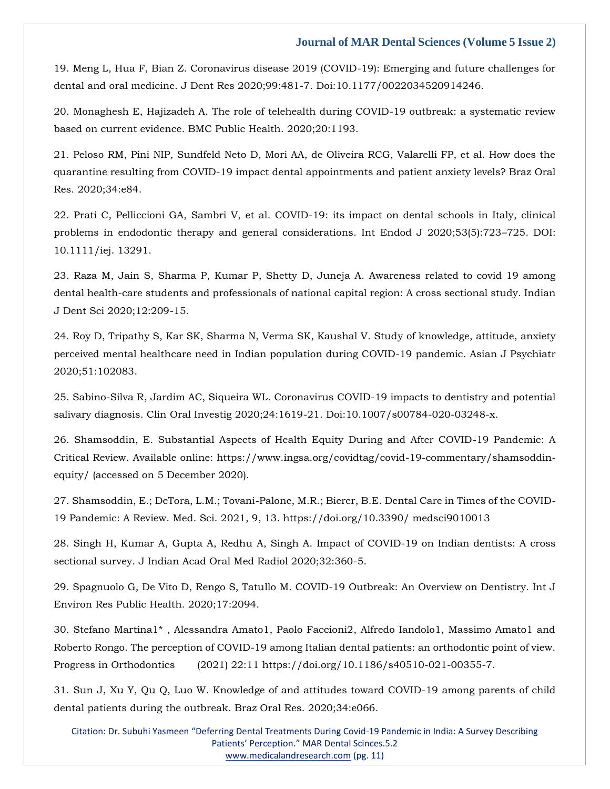[19. Meng L, Hua F, Bian Z. Coronavirus disease 2019 \(COVID-19\): Emerging and future challenges for](https://www.google.com/search?q=Coronavirus+disease+2019+%28COVID-19%29%3A+Emerging+and+future+challenges+for+dental+and+oral+medicine.+&sxsrf=APq-WBta0wmdkQ-TCDV0pk0UVAEVmE7OCA%3A1647426072117&ei=GLoxYtvcBuDE4-EPrfqUqAM&ved=0ahUKEwjbyMmutMr2AhVg4jgGHS09BTUQ4dUDCA8&oq=Coronavirus+disease+2019+%28COVID-19%29%3A+Emerging+and+future+challenges+for+dental+and+oral+medicine.+&gs_lcp=Cgdnd3Mtd2l6EAw6BwgjEOoCECdKBAhBGABKBAhGGABQ1gFY1gFgmAVoAXABeACAAWSIAWSSAQMwLjGYAQCgAQGgAQKwAQrAAQE&sclient=gws-wiz)  dental and oral medicine. J Dent [Res 2020;99:481-7. Doi:10.1177/0022034520914246.](https://www.google.com/search?q=Coronavirus+disease+2019+%28COVID-19%29%3A+Emerging+and+future+challenges+for+dental+and+oral+medicine.+&sxsrf=APq-WBta0wmdkQ-TCDV0pk0UVAEVmE7OCA%3A1647426072117&ei=GLoxYtvcBuDE4-EPrfqUqAM&ved=0ahUKEwjbyMmutMr2AhVg4jgGHS09BTUQ4dUDCA8&oq=Coronavirus+disease+2019+%28COVID-19%29%3A+Emerging+and+future+challenges+for+dental+and+oral+medicine.+&gs_lcp=Cgdnd3Mtd2l6EAw6BwgjEOoCECdKBAhBGABKBAhGGABQ1gFY1gFgmAVoAXABeACAAWSIAWSSAQMwLjGYAQCgAQGgAQKwAQrAAQE&sclient=gws-wiz)

[20. Monaghesh E, Hajizadeh A. The role of telehealth during COVID-19 outbreak: a systematic review](https://www.google.com/search?q=The+role+of+telehealth+during+COVID-19+outbreak%3A+a+systematic+review+based+on+current+evidence.&sxsrf=APq-WBsGI6BL9S7jWorXrSH6SRYaPt5_QA%3A1647425834045&ei=KrkxYuapAo2W4-EPhr2W2AE&ved=0ahUKEwjm5oa9s8r2AhUNyzgGHYaeBRsQ4dUDCA8&oq=The+role+of+telehealth+during+COVID-19+outbreak%3A+a+systematic+review+based+on+current+evidence.&gs_lcp=Cgdnd3Mtd2l6EAxKBAhBGABKBAhGGABQAFgAYABoAHABeACAAQCIAQCSAQCYAQA&sclient=gws-wiz)  [based on current evidence. BMC Public Health. 2020;20:1193.](https://www.google.com/search?q=The+role+of+telehealth+during+COVID-19+outbreak%3A+a+systematic+review+based+on+current+evidence.&sxsrf=APq-WBsGI6BL9S7jWorXrSH6SRYaPt5_QA%3A1647425834045&ei=KrkxYuapAo2W4-EPhr2W2AE&ved=0ahUKEwjm5oa9s8r2AhUNyzgGHYaeBRsQ4dUDCA8&oq=The+role+of+telehealth+during+COVID-19+outbreak%3A+a+systematic+review+based+on+current+evidence.&gs_lcp=Cgdnd3Mtd2l6EAxKBAhBGABKBAhGGABQAFgAYABoAHABeACAAQCIAQCSAQCYAQA&sclient=gws-wiz)

[21. Peloso RM, Pini NIP, Sundfeld Neto D, Mori AA, de Oliveira RCG, Valarelli FP, et al. How does the](https://www.google.com/search?q=ow+does+the+quarantine+resulting+from+COVID-19+impact+dental+appointments+and+patient+anxiety+levels%3F+&sxsrf=APq-WBvBrnJ2-NMWhUqrOBPl3-YWHvvs5Q%3A1647425800506&ei=CLkxYp23HqDH4-EPz-CD0AM&ved=0ahUKEwid24ets8r2AhWg4zgGHU_wADoQ4dUDCA8&oq=ow+does+the+quarantine+resulting+from+COVID-19+impact+dental+appointments+and+patient+anxiety+levels%3F+&gs_lcp=Cgdnd3Mtd2l6EAwyBwgjEOoCECcyBwgjEOoCECcyBwgjEOoCECcyBwgjEOoCECcyBwgjEOoCECcyBwgjEOoCECcyBwgjEOoCECcyBwgjEOoCECcyBwgjEOoCECcyBwgjEOoCECdKBAhBGABKBAhGGABQ1QFY1QFgywhoAXABeACAAQCIAQCSAQCYAQCgAQGgAQKwAQrAAQE&sclient=gws-wiz)  [quarantine resulting from COVID-19 impact dental appointments and patient anxiety levels? Braz Oral](https://www.google.com/search?q=ow+does+the+quarantine+resulting+from+COVID-19+impact+dental+appointments+and+patient+anxiety+levels%3F+&sxsrf=APq-WBvBrnJ2-NMWhUqrOBPl3-YWHvvs5Q%3A1647425800506&ei=CLkxYp23HqDH4-EPz-CD0AM&ved=0ahUKEwid24ets8r2AhWg4zgGHU_wADoQ4dUDCA8&oq=ow+does+the+quarantine+resulting+from+COVID-19+impact+dental+appointments+and+patient+anxiety+levels%3F+&gs_lcp=Cgdnd3Mtd2l6EAwyBwgjEOoCECcyBwgjEOoCECcyBwgjEOoCECcyBwgjEOoCECcyBwgjEOoCECcyBwgjEOoCECcyBwgjEOoCECcyBwgjEOoCECcyBwgjEOoCECcyBwgjEOoCECdKBAhBGABKBAhGGABQ1QFY1QFgywhoAXABeACAAQCIAQCSAQCYAQCgAQGgAQKwAQrAAQE&sclient=gws-wiz)  [Res. 2020;34:e84.](https://www.google.com/search?q=ow+does+the+quarantine+resulting+from+COVID-19+impact+dental+appointments+and+patient+anxiety+levels%3F+&sxsrf=APq-WBvBrnJ2-NMWhUqrOBPl3-YWHvvs5Q%3A1647425800506&ei=CLkxYp23HqDH4-EPz-CD0AM&ved=0ahUKEwid24ets8r2AhWg4zgGHU_wADoQ4dUDCA8&oq=ow+does+the+quarantine+resulting+from+COVID-19+impact+dental+appointments+and+patient+anxiety+levels%3F+&gs_lcp=Cgdnd3Mtd2l6EAwyBwgjEOoCECcyBwgjEOoCECcyBwgjEOoCECcyBwgjEOoCECcyBwgjEOoCECcyBwgjEOoCECcyBwgjEOoCECcyBwgjEOoCECcyBwgjEOoCECcyBwgjEOoCECdKBAhBGABKBAhGGABQ1QFY1QFgywhoAXABeACAAQCIAQCSAQCYAQCgAQGgAQKwAQrAAQE&sclient=gws-wiz)

[22. Prati C, Pelliccioni GA, Sambri V, et al. COVID-19: its impact on dental schools in Italy, clinical](https://www.google.com/search?q=COVID-19%3A+its+impact+on+dental+schools+in+Italy%2C+clinical+problems+in+endodontic+therapy+and+general+considerations&sxsrf=APq-WBu--ejvqxzzNq99gvpUszn70_Q_cA%3A1647425784783&ei=-LgxYoWyL9ae4-EPsc2BqA4&ved=0ahUKEwiFjsils8r2AhVWzzgGHbFmAOUQ4dUDCA8&oq=COVID-19%3A+its+impact+on+dental+schools+in+Italy%2C+clinical+problems+in+endodontic+therapy+and+general+considerations&gs_lcp=Cgdnd3Mtd2l6EAwyBwgjEOoCECcyBwgjEOoCECcyBwgjEOoCECcyBwgjEOoCECcyBwgjEOoCECcyBwgjEOoCECcyBwgjEOoCECcyBwgjEOoCECcyBwgjEOoCECcyBwgjEOoCECdKBAhBGABKBAhGGABQywNYywNgxgdoAXABeACAAQCIAQCSAQCYAQCgAQGgAQKwAQrAAQE&sclient=gws-wiz)  [problems in endodontic therapy and general considerations. Int Endod J 2020;53\(5\):723](https://www.google.com/search?q=COVID-19%3A+its+impact+on+dental+schools+in+Italy%2C+clinical+problems+in+endodontic+therapy+and+general+considerations&sxsrf=APq-WBu--ejvqxzzNq99gvpUszn70_Q_cA%3A1647425784783&ei=-LgxYoWyL9ae4-EPsc2BqA4&ved=0ahUKEwiFjsils8r2AhVWzzgGHbFmAOUQ4dUDCA8&oq=COVID-19%3A+its+impact+on+dental+schools+in+Italy%2C+clinical+problems+in+endodontic+therapy+and+general+considerations&gs_lcp=Cgdnd3Mtd2l6EAwyBwgjEOoCECcyBwgjEOoCECcyBwgjEOoCECcyBwgjEOoCECcyBwgjEOoCECcyBwgjEOoCECcyBwgjEOoCECcyBwgjEOoCECcyBwgjEOoCECcyBwgjEOoCECdKBAhBGABKBAhGGABQywNYywNgxgdoAXABeACAAQCIAQCSAQCYAQCgAQGgAQKwAQrAAQE&sclient=gws-wiz)–725. DOI: [10.1111/iej. 13291.](https://www.google.com/search?q=COVID-19%3A+its+impact+on+dental+schools+in+Italy%2C+clinical+problems+in+endodontic+therapy+and+general+considerations&sxsrf=APq-WBu--ejvqxzzNq99gvpUszn70_Q_cA%3A1647425784783&ei=-LgxYoWyL9ae4-EPsc2BqA4&ved=0ahUKEwiFjsils8r2AhVWzzgGHbFmAOUQ4dUDCA8&oq=COVID-19%3A+its+impact+on+dental+schools+in+Italy%2C+clinical+problems+in+endodontic+therapy+and+general+considerations&gs_lcp=Cgdnd3Mtd2l6EAwyBwgjEOoCECcyBwgjEOoCECcyBwgjEOoCECcyBwgjEOoCECcyBwgjEOoCECcyBwgjEOoCECcyBwgjEOoCECcyBwgjEOoCECcyBwgjEOoCECcyBwgjEOoCECdKBAhBGABKBAhGGABQywNYywNgxgdoAXABeACAAQCIAQCSAQCYAQCgAQGgAQKwAQrAAQE&sclient=gws-wiz)

[23. Raza M, Jain S, Sharma P, Kumar P, Shetty D, Juneja A. Awareness related to covid 19 among](https://www.google.com/search?q=Awareness+related+to+covid+19+among+dental+health-care+students+and+professionals+of+national+capital+region%3A+A+cross+sectional+study&sxsrf=APq-WBsJctBUW1qbwZ_dqlSnEoY2gog0WA%3A1647425765813&ei=5bgxYoSHMa6f4-EP3e6m-A8&ved=0ahUKEwjEjcKcs8r2AhWuzzgGHV23Cf8Q4dUDCA8&oq=Awareness+related+to+covid+19+among+dental+health-care+students+and+professionals+of+national+capital+region%3A+A+cross+sectional+study&gs_lcp=Cgdnd3Mtd2l6EAwyBwgjEOoCECcyBwgjEOoCECcyBwgjEOoCECcyBwgjEOoCECcyBwgjEOoCECcyBwgjEOoCECcyBwgjEOoCECcyBwgjEOoCECcyBwgjEOoCECcyBwgjEOoCECdKBAhBGABKBAhGGABQhAFYhAFgqghoAXABeACAAQCIAQCSAQCYAQCgAQGgAQKwAQrAAQE&sclient=gws-wiz)  [dental health-care students and professionals of national capital region: A cross sectional study. Indian](https://www.google.com/search?q=Awareness+related+to+covid+19+among+dental+health-care+students+and+professionals+of+national+capital+region%3A+A+cross+sectional+study&sxsrf=APq-WBsJctBUW1qbwZ_dqlSnEoY2gog0WA%3A1647425765813&ei=5bgxYoSHMa6f4-EP3e6m-A8&ved=0ahUKEwjEjcKcs8r2AhWuzzgGHV23Cf8Q4dUDCA8&oq=Awareness+related+to+covid+19+among+dental+health-care+students+and+professionals+of+national+capital+region%3A+A+cross+sectional+study&gs_lcp=Cgdnd3Mtd2l6EAwyBwgjEOoCECcyBwgjEOoCECcyBwgjEOoCECcyBwgjEOoCECcyBwgjEOoCECcyBwgjEOoCECcyBwgjEOoCECcyBwgjEOoCECcyBwgjEOoCECcyBwgjEOoCECdKBAhBGABKBAhGGABQhAFYhAFgqghoAXABeACAAQCIAQCSAQCYAQCgAQGgAQKwAQrAAQE&sclient=gws-wiz)  [J Dent Sci 2020;12:209-15.](https://www.google.com/search?q=Awareness+related+to+covid+19+among+dental+health-care+students+and+professionals+of+national+capital+region%3A+A+cross+sectional+study&sxsrf=APq-WBsJctBUW1qbwZ_dqlSnEoY2gog0WA%3A1647425765813&ei=5bgxYoSHMa6f4-EP3e6m-A8&ved=0ahUKEwjEjcKcs8r2AhWuzzgGHV23Cf8Q4dUDCA8&oq=Awareness+related+to+covid+19+among+dental+health-care+students+and+professionals+of+national+capital+region%3A+A+cross+sectional+study&gs_lcp=Cgdnd3Mtd2l6EAwyBwgjEOoCECcyBwgjEOoCECcyBwgjEOoCECcyBwgjEOoCECcyBwgjEOoCECcyBwgjEOoCECcyBwgjEOoCECcyBwgjEOoCECcyBwgjEOoCECcyBwgjEOoCECdKBAhBGABKBAhGGABQhAFYhAFgqghoAXABeACAAQCIAQCSAQCYAQCgAQGgAQKwAQrAAQE&sclient=gws-wiz)

[24. Roy D, Tripathy S, Kar SK, Sharma N, Verma SK, Kaushal V. Study of knowledge, attitude, anxiety](https://www.google.com/search?q=Study+of+knowledge%2C+attitude%2C+anxiety+perceived+mental+healthcare+need+in+Indian+population+during+COVID-19+pandemic.+&sxsrf=APq-WBs1XDUcJ6O3Vxr2P76Z4-OxheBDpw%3A1647425707754&ei=q7gxYsHQLcWP4-EPitegkAI&ved=0ahUKEwiB0uqAs8r2AhXFxzgGHYorCCIQ4dUDCA8&oq=Study+of+knowledge%2C+attitude%2C+anxiety+perceived+mental+healthcare+need+in+Indian+population+during+COVID-19+pandemic.+&gs_lcp=Cgdnd3Mtd2l6EAwyBwgjEOoCECcyBwgjEOoCECcyBwgjEOoCECcyBwgjEOoCECcyBwgjEOoCECcyBwgjEOoCECcyBwgjEOoCECcyBwgjEOoCECcyBwgjEOoCECcyBwgjEOoCECdKBAhBGABKBAhGGABQ9wJY9wJg6wdoAXAAeACAAQCIAQCSAQCYAQCgAQGgAQKwAQrAAQE&sclient=gws-wiz)  [perceived mental healthcare need in Indian population during COVID-19 pandemic. Asian J Psychiatr](https://www.google.com/search?q=Study+of+knowledge%2C+attitude%2C+anxiety+perceived+mental+healthcare+need+in+Indian+population+during+COVID-19+pandemic.+&sxsrf=APq-WBs1XDUcJ6O3Vxr2P76Z4-OxheBDpw%3A1647425707754&ei=q7gxYsHQLcWP4-EPitegkAI&ved=0ahUKEwiB0uqAs8r2AhXFxzgGHYorCCIQ4dUDCA8&oq=Study+of+knowledge%2C+attitude%2C+anxiety+perceived+mental+healthcare+need+in+Indian+population+during+COVID-19+pandemic.+&gs_lcp=Cgdnd3Mtd2l6EAwyBwgjEOoCECcyBwgjEOoCECcyBwgjEOoCECcyBwgjEOoCECcyBwgjEOoCECcyBwgjEOoCECcyBwgjEOoCECcyBwgjEOoCECcyBwgjEOoCECcyBwgjEOoCECdKBAhBGABKBAhGGABQ9wJY9wJg6wdoAXAAeACAAQCIAQCSAQCYAQCgAQGgAQKwAQrAAQE&sclient=gws-wiz)  [2020;51:102083.](https://www.google.com/search?q=Study+of+knowledge%2C+attitude%2C+anxiety+perceived+mental+healthcare+need+in+Indian+population+during+COVID-19+pandemic.+&sxsrf=APq-WBs1XDUcJ6O3Vxr2P76Z4-OxheBDpw%3A1647425707754&ei=q7gxYsHQLcWP4-EPitegkAI&ved=0ahUKEwiB0uqAs8r2AhXFxzgGHYorCCIQ4dUDCA8&oq=Study+of+knowledge%2C+attitude%2C+anxiety+perceived+mental+healthcare+need+in+Indian+population+during+COVID-19+pandemic.+&gs_lcp=Cgdnd3Mtd2l6EAwyBwgjEOoCECcyBwgjEOoCECcyBwgjEOoCECcyBwgjEOoCECcyBwgjEOoCECcyBwgjEOoCECcyBwgjEOoCECcyBwgjEOoCECcyBwgjEOoCECcyBwgjEOoCECdKBAhBGABKBAhGGABQ9wJY9wJg6wdoAXAAeACAAQCIAQCSAQCYAQCgAQGgAQKwAQrAAQE&sclient=gws-wiz)

[25. Sabino-Silva R, Jardim AC, Siqueira WL. Coronavirus COVID-19 impacts to dentistry and potential](https://www.ingsa.org/covidtag/covid-19-commentary/shamsoddin-equity/%20(accessed%20on%205%20December%202020).)  [salivary diagnosis. Clin Oral Investig 2020;24:1619-21. Doi:10.1007/s00784-020-03248-x.](https://www.ingsa.org/covidtag/covid-19-commentary/shamsoddin-equity/%20(accessed%20on%205%20December%202020).)

[26. Shamsoddin, E. Substantial Aspects of Health Equity During and After COVID-19 Pandemic: A](file:///C:/Users/Arief%20Mahimudh/Desktop/MARCH%20Proofs/26.%20Shamsoddin,%20E.%20Substantial%20Aspects%20of%20Health%20Equity%20During%20and%20After%20COVID-19%20Pandemic:%20A%20Critical%20Review.%20Available%20online:%20https:/www.ingsa.org/covidtag/covid-19-commentary/shamsoddin-equity/%20(accessed%20on%205%20December%202020).)  [Critical Review. Available online: https://www.ingsa.org/covidtag/covid-19-commentary/shamsoddin](file:///C:/Users/Arief%20Mahimudh/Desktop/MARCH%20Proofs/26.%20Shamsoddin,%20E.%20Substantial%20Aspects%20of%20Health%20Equity%20During%20and%20After%20COVID-19%20Pandemic:%20A%20Critical%20Review.%20Available%20online:%20https:/www.ingsa.org/covidtag/covid-19-commentary/shamsoddin-equity/%20(accessed%20on%205%20December%202020).)[equity/ \(accessed on 5 December 2020\).](file:///C:/Users/Arief%20Mahimudh/Desktop/MARCH%20Proofs/26.%20Shamsoddin,%20E.%20Substantial%20Aspects%20of%20Health%20Equity%20During%20and%20After%20COVID-19%20Pandemic:%20A%20Critical%20Review.%20Available%20online:%20https:/www.ingsa.org/covidtag/covid-19-commentary/shamsoddin-equity/%20(accessed%20on%205%20December%202020).)

[27. Shamsoddin, E.; DeTora, L.M.; Tovani-Palone, M.R.; Bierer, B.E. Dental Care in Times of the COVID-](file:///C:/Users/Arief%20Mahimudh/Desktop/MARCH%20Proofs/27.%20Shamsoddin,%20E.;%20DeTora,%20L.M.;%20Tovani-Palone,%20M.R.;%20Bierer,%20B.E.%20Dental%20Care%20in%20Times%20of%20the%20COVID-19%20Pandemic:%20A%20Review.%20Med.%20Sci.%202021,%209,%2013.%20https:/doi.org/10.3390/%20medsci9010013)[19 Pandemic: A Review. Med. Sci. 2021, 9, 13. https://doi.org/10.3390/ medsci9010013](file:///C:/Users/Arief%20Mahimudh/Desktop/MARCH%20Proofs/27.%20Shamsoddin,%20E.;%20DeTora,%20L.M.;%20Tovani-Palone,%20M.R.;%20Bierer,%20B.E.%20Dental%20Care%20in%20Times%20of%20the%20COVID-19%20Pandemic:%20A%20Review.%20Med.%20Sci.%202021,%209,%2013.%20https:/doi.org/10.3390/%20medsci9010013)

[28. Singh H, Kumar A, Gupta A, Redhu A, Singh A. Impact of COVID-19 on Indian dentists: A cross](https://www.google.com/search?q=Impact+of+COVID-19+on+Indian+dentists%3A+A+cross+sectional+survey.&sxsrf=APq-WBu_A1PTnPeK2ry9R9YZ4DGfbGU-LQ%3A1647425685346&ei=lbgxYtjLFLyZ4-EPnOiK2Ak&ved=0ahUKEwiY6pL2ssr2AhW8zDgGHRy0ApsQ4dUDCA8&oq=Impact+of+COVID-19+on+Indian+dentists%3A+A+cross+sectional+survey.&gs_lcp=Cgdnd3Mtd2l6EAw6BwgjEOoCECdKBAhBGABKBAhGGABQ1gRY1gRgwQhoAXAAeACAAf4CiAH-ApIBAzMtMZgBAKABAaABArABCsABAQ&sclient=gws-wiz)  [sectional survey. J Indian Acad Oral Med Radiol 2020;32:360-5.](https://www.google.com/search?q=Impact+of+COVID-19+on+Indian+dentists%3A+A+cross+sectional+survey.&sxsrf=APq-WBu_A1PTnPeK2ry9R9YZ4DGfbGU-LQ%3A1647425685346&ei=lbgxYtjLFLyZ4-EPnOiK2Ak&ved=0ahUKEwiY6pL2ssr2AhW8zDgGHRy0ApsQ4dUDCA8&oq=Impact+of+COVID-19+on+Indian+dentists%3A+A+cross+sectional+survey.&gs_lcp=Cgdnd3Mtd2l6EAw6BwgjEOoCECdKBAhBGABKBAhGGABQ1gRY1gRgwQhoAXAAeACAAf4CiAH-ApIBAzMtMZgBAKABAaABArABCsABAQ&sclient=gws-wiz)

[29. Spagnuolo G, De Vito D, Rengo S, Tatullo M. COVID-19 Outbreak: An Overview on Dentistry. Int J](https://www.google.com/search?q=An+Overview+on+Dentistry&sxsrf=APq-WBuQF9lUiOLNGD2FGw0OyDAdwZvxUA%3A1647425650423&ei=crgxYpy6GdzE4-EPnoO8iAE&ved=0ahUKEwicu7_lssr2AhVc4jgGHZ4BDxEQ4dUDCA8&oq=An+Overview+on+Dentistry&gs_lcp=Cgdnd3Mtd2l6EAwyBggAEBYQHjoHCCMQ6gIQJ0oECEEYAEoECEYYAFCdAlidAmCPBmgBcAB4AIABlQGIAZUBkgEDMC4xmAEAoAEBoAECsAEKwAEB&sclient=gws-wiz)  [Environ Res Public Health. 2020;17:2094.](https://www.google.com/search?q=An+Overview+on+Dentistry&sxsrf=APq-WBuQF9lUiOLNGD2FGw0OyDAdwZvxUA%3A1647425650423&ei=crgxYpy6GdzE4-EPnoO8iAE&ved=0ahUKEwicu7_lssr2AhVc4jgGHZ4BDxEQ4dUDCA8&oq=An+Overview+on+Dentistry&gs_lcp=Cgdnd3Mtd2l6EAwyBggAEBYQHjoHCCMQ6gIQJ0oECEEYAEoECEYYAFCdAlidAmCPBmgBcAB4AIABlQGIAZUBkgEDMC4xmAEAoAEBoAECsAEKwAEB&sclient=gws-wiz)

[30. Stefano Martina1\\* , Alessandra Amato1, Paolo Faccioni2, Alfredo Iandolo1, Massimo Amato1 and](file:///C:/Users/Arief%20Mahimudh/Desktop/MARCH%20Proofs/30.%20Stefano%20Martina1*%20,%20Alessandra%20Amato1,%20Paolo%20Faccioni2,%20Alfredo%20Iandolo1,%20Massimo%20Amato1%20and%20Roberto%20Rongo.%20The%20perception%20of%20COVID-19%20among%20Italian%20dental%20patients:%20an%20orthodontic%20point%20of%20view.%20Progress%20in%20Orthodontics(2021)%2022:11%20https:/doi.org/10.1186/s40510-021-00355-7.)  [Roberto Rongo. The perception of COVID-19 among Italian dental patients: an orthodontic point of view.](file:///C:/Users/Arief%20Mahimudh/Desktop/MARCH%20Proofs/30.%20Stefano%20Martina1*%20,%20Alessandra%20Amato1,%20Paolo%20Faccioni2,%20Alfredo%20Iandolo1,%20Massimo%20Amato1%20and%20Roberto%20Rongo.%20The%20perception%20of%20COVID-19%20among%20Italian%20dental%20patients:%20an%20orthodontic%20point%20of%20view.%20Progress%20in%20Orthodontics(2021)%2022:11%20https:/doi.org/10.1186/s40510-021-00355-7.)  Progress in Orthodontics [\(2021\) 22:11 https://doi.org/10.1186/s40510-021-00355-7.](file:///C:/Users/Arief%20Mahimudh/Desktop/MARCH%20Proofs/30.%20Stefano%20Martina1*%20,%20Alessandra%20Amato1,%20Paolo%20Faccioni2,%20Alfredo%20Iandolo1,%20Massimo%20Amato1%20and%20Roberto%20Rongo.%20The%20perception%20of%20COVID-19%20among%20Italian%20dental%20patients:%20an%20orthodontic%20point%20of%20view.%20Progress%20in%20Orthodontics(2021)%2022:11%20https:/doi.org/10.1186/s40510-021-00355-7.)

[31. Sun J, Xu Y, Qu Q, Luo W. Knowledge of and attitudes toward COVID-19 among parents of child](https://www.google.com/search?q=Knowledge+of+and+attitudes+toward+COVID-19+among+parents+of+child+dental+patients+during+the+outbreak&sxsrf=APq-WBtS4UBQNxGRdEgyfiv4FMN5wYIQyA%3A1647425623236&ei=V7gxYvqCDuaZ4-EP0ZyCwAc&ved=0ahUKEwi6isTYssr2AhXmzDgGHVGOAHgQ4dUDCA8&oq=Knowledge+of+and+attitudes+toward+COVID-19+among+parents+of+child+dental+patients+during+the+outbreak&gs_lcp=Cgdnd3Mtd2l6EAwyBwgjEOoCECcyBwgjEOoCECcyBwgjEOoCECcyBwgjEOoCECcyBwgjEOoCECcyBwgjEOoCECcyBwgjEOoCECcyBwgjEOoCECcyBwgjEOoCECcyBwgjEOoCECdKBAhBGABKBAhGGABQH1gfYIUEaAFwAHgAgAEAiAEAkgEAmAEAoAEBoAECsAEKwAEB&sclient=gws-wiz)  [dental patients during the outbreak. Braz Oral Res. 2020;34:e066.](https://www.google.com/search?q=Knowledge+of+and+attitudes+toward+COVID-19+among+parents+of+child+dental+patients+during+the+outbreak&sxsrf=APq-WBtS4UBQNxGRdEgyfiv4FMN5wYIQyA%3A1647425623236&ei=V7gxYvqCDuaZ4-EP0ZyCwAc&ved=0ahUKEwi6isTYssr2AhXmzDgGHVGOAHgQ4dUDCA8&oq=Knowledge+of+and+attitudes+toward+COVID-19+among+parents+of+child+dental+patients+during+the+outbreak&gs_lcp=Cgdnd3Mtd2l6EAwyBwgjEOoCECcyBwgjEOoCECcyBwgjEOoCECcyBwgjEOoCECcyBwgjEOoCECcyBwgjEOoCECcyBwgjEOoCECcyBwgjEOoCECcyBwgjEOoCECcyBwgjEOoCECdKBAhBGABKBAhGGABQH1gfYIUEaAFwAHgAgAEAiAEAkgEAmAEAoAEBoAECsAEKwAEB&sclient=gws-wiz)

Citation: Dr. Subuhi Yasmeen "Deferring Dental Treatments During Covid-19 Pandemic in India: A Survey Describing Patients' Perception." MAR Dental Scinces.5.2 [www.medicalandresearch.com](http://www.medicalandresearch.com/) (pg. 11)